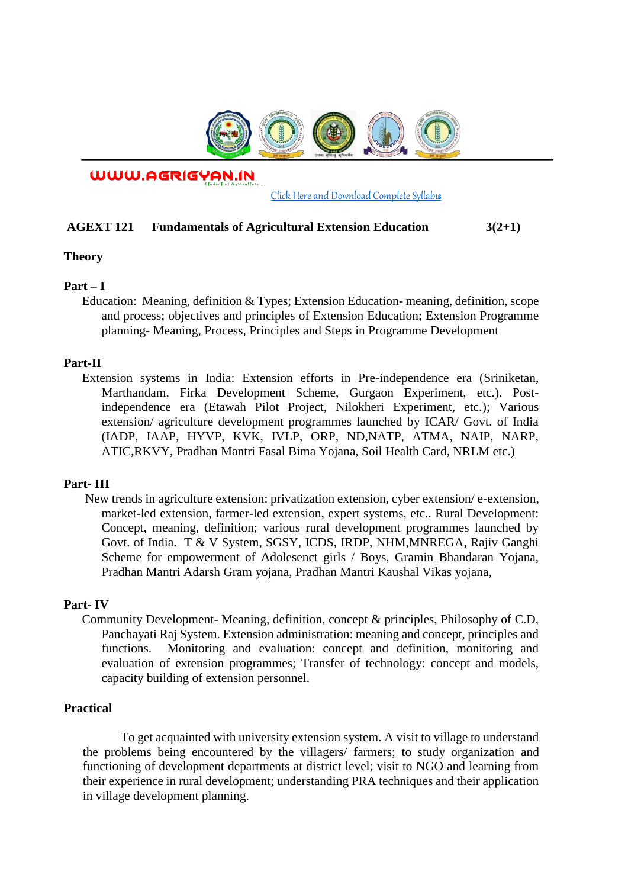

WWW.AGRIGYAN.IN

[Click Here and Download Complete Syllabus](http://agrigyan.in/)

#### **AGEXT 121 Fundamentals of Agricultural Extension Education 3(2+1)**

**Theory** 

 $\overline{a}$ 

## **Part – I**

Education: Meaning, definition & Types; Extension Education- meaning, definition, scope and process; objectives and principles of Extension Education; Extension Programme planning- Meaning, Process, Principles and Steps in Programme Development

#### **Part-II**

Extension systems in India: Extension efforts in Pre-independence era (Sriniketan, Marthandam, Firka Development Scheme, Gurgaon Experiment, etc.). Postindependence era (Etawah Pilot Project, Nilokheri Experiment, etc.); Various extension/ agriculture development programmes launched by ICAR/ Govt. of India (IADP, IAAP, HYVP, KVK, IVLP, ORP, ND,NATP, ATMA, NAIP, NARP, ATIC,RKVY, Pradhan Mantri Fasal Bima Yojana, Soil Health Card, NRLM etc.)

## **Part- III**

New trends in agriculture extension: privatization extension, cyber extension/ e-extension, market-led extension, farmer-led extension, expert systems, etc.. Rural Development: Concept, meaning, definition; various rural development programmes launched by Govt. of India. T & V System, SGSY, ICDS, IRDP, NHM,MNREGA, Rajiv Ganghi Scheme for empowerment of Adolesenct girls / Boys, Gramin Bhandaran Yojana, Pradhan Mantri Adarsh Gram yojana, Pradhan Mantri Kaushal Vikas yojana,

## **Part- IV**

Community Development- Meaning, definition, concept & principles, Philosophy of C.D, Panchayati Raj System. Extension administration: meaning and concept, principles and functions. Monitoring and evaluation: concept and definition, monitoring and evaluation of extension programmes; Transfer of technology: concept and models, capacity building of extension personnel.

#### **Practical**

To get acquainted with university extension system. A visit to village to understand the problems being encountered by the villagers/ farmers; to study organization and functioning of development departments at district level; visit to NGO and learning from their experience in rural development; understanding PRA techniques and their application in village development planning.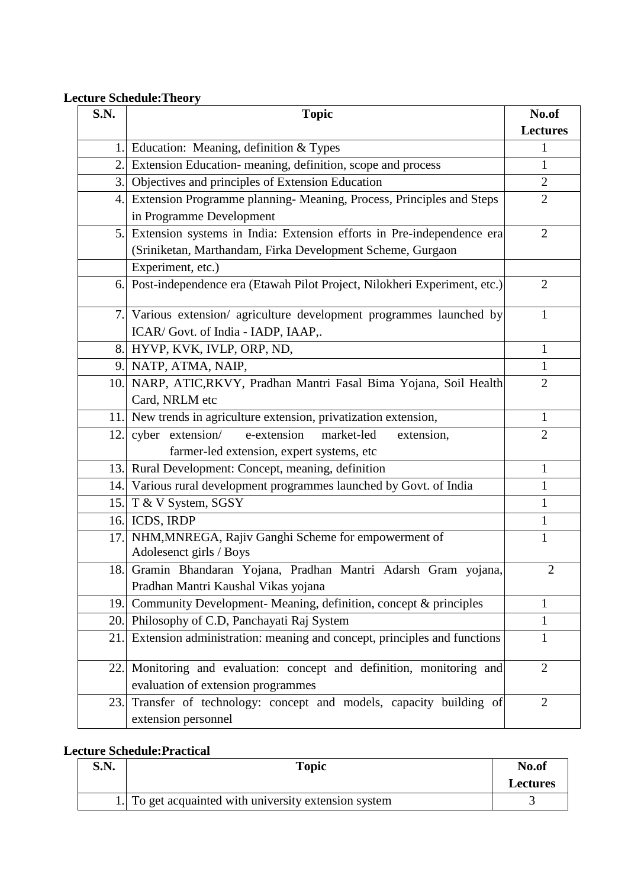# **Lecture Schedule:Theory**

| S.N. | <b>Topic</b>                                                                                                | No.of           |
|------|-------------------------------------------------------------------------------------------------------------|-----------------|
|      |                                                                                                             | <b>Lectures</b> |
| 1.   | Education: Meaning, definition & Types                                                                      |                 |
|      | 2. Extension Education-meaning, definition, scope and process                                               | 1               |
| 3.   | Objectives and principles of Extension Education                                                            | $\overline{2}$  |
| 4.   | Extension Programme planning- Meaning, Process, Principles and Steps                                        | $\overline{2}$  |
|      | in Programme Development                                                                                    |                 |
| 5.   | Extension systems in India: Extension efforts in Pre-independence era                                       | $\overline{2}$  |
|      | (Sriniketan, Marthandam, Firka Development Scheme, Gurgaon                                                  |                 |
|      | Experiment, etc.)                                                                                           |                 |
|      | 6. Post-independence era (Etawah Pilot Project, Nilokheri Experiment, etc.)                                 | $\overline{2}$  |
|      | 7. Various extension/ agriculture development programmes launched by<br>ICAR/ Govt. of India - IADP, IAAP,. | 1               |
|      | 8. HYVP, KVK, IVLP, ORP, ND,                                                                                | $\mathbf{1}$    |
| 9.   | NATP, ATMA, NAIP,                                                                                           | 1               |
|      | 10. NARP, ATIC, RKVY, Pradhan Mantri Fasal Bima Yojana, Soil Health                                         | $\overline{2}$  |
|      | Card, NRLM etc                                                                                              |                 |
| 11.  | New trends in agriculture extension, privatization extension,                                               | $\mathbf{1}$    |
| 12.  | cyber extension/<br>e-extension<br>market-led<br>extension,                                                 | $\overline{2}$  |
|      | farmer-led extension, expert systems, etc                                                                   |                 |
|      | 13. Rural Development: Concept, meaning, definition                                                         | $\mathbf{1}$    |
| 14.  | Various rural development programmes launched by Govt. of India                                             | $\mathbf{1}$    |
| 15.  | T & V System, SGSY                                                                                          | 1               |
| 16.  | ICDS, IRDP                                                                                                  | 1               |
| 17.  | NHM, MNREGA, Rajiv Ganghi Scheme for empowerment of<br>Adolesenct girls / Boys                              | 1               |
|      | 18. Gramin Bhandaran Yojana, Pradhan Mantri Adarsh Gram yojana,                                             | $\overline{2}$  |
|      | Pradhan Mantri Kaushal Vikas yojana                                                                         |                 |
| 19.  | Community Development- Meaning, definition, concept & principles                                            | 1               |
| 20.  | Philosophy of C.D, Panchayati Raj System                                                                    | $\mathbf{1}$    |
| 21   | Extension administration: meaning and concept, principles and functions                                     | 1               |
| 22.  | Monitoring and evaluation: concept and definition, monitoring and                                           | $\overline{2}$  |
|      | evaluation of extension programmes                                                                          |                 |
| 23.  | Transfer of technology: concept and models, capacity building of<br>extension personnel                     | $\overline{2}$  |

# **Lecture Schedule:Practical**

| S.N. | <b>Topic</b>                                          | No.of           |
|------|-------------------------------------------------------|-----------------|
|      |                                                       | <b>Lectures</b> |
|      | 1. To get acquainted with university extension system |                 |